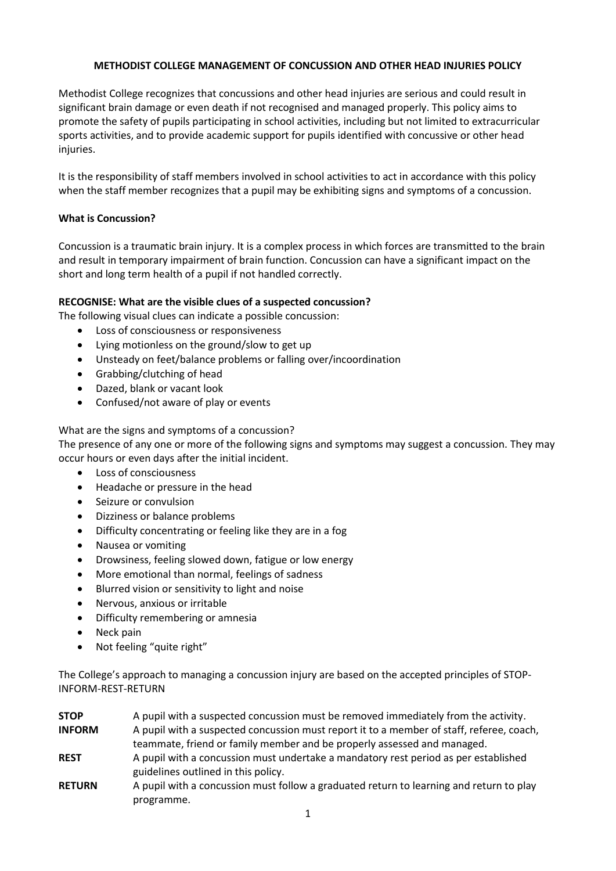### **METHODIST COLLEGE MANAGEMENT OF CONCUSSION AND OTHER HEAD INJURIES POLICY**

Methodist College recognizes that concussions and other head injuries are serious and could result in significant brain damage or even death if not recognised and managed properly. This policy aims to promote the safety of pupils participating in school activities, including but not limited to extracurricular sports activities, and to provide academic support for pupils identified with concussive or other head injuries.

It is the responsibility of staff members involved in school activities to act in accordance with this policy when the staff member recognizes that a pupil may be exhibiting signs and symptoms of a concussion.

# **What is Concussion?**

Concussion is a traumatic brain injury. It is a complex process in which forces are transmitted to the brain and result in temporary impairment of brain function. Concussion can have a significant impact on the short and long term health of a pupil if not handled correctly.

# **RECOGNISE: What are the visible clues of a suspected concussion?**

The following visual clues can indicate a possible concussion:

- Loss of consciousness or responsiveness
- Lying motionless on the ground/slow to get up
- Unsteady on feet/balance problems or falling over/incoordination
- Grabbing/clutching of head
- Dazed, blank or vacant look
- Confused/not aware of play or events

### What are the signs and symptoms of a concussion?

The presence of any one or more of the following signs and symptoms may suggest a concussion. They may occur hours or even days after the initial incident.

- Loss of consciousness
- Headache or pressure in the head
- Seizure or convulsion
- Dizziness or balance problems
- Difficulty concentrating or feeling like they are in a fog
- Nausea or vomiting
- Drowsiness, feeling slowed down, fatigue or low energy
- More emotional than normal, feelings of sadness
- Blurred vision or sensitivity to light and noise
- Nervous, anxious or irritable
- Difficulty remembering or amnesia

programme.

- Neck pain
- Not feeling "quite right"

The College's approach to managing a concussion injury are based on the accepted principles of STOP-INFORM-REST-RETURN

| <b>STOP</b>   | A pupil with a suspected concussion must be removed immediately from the activity.       |
|---------------|------------------------------------------------------------------------------------------|
| <b>INFORM</b> | A pupil with a suspected concussion must report it to a member of staff, referee, coach, |
|               | teammate, friend or family member and be properly assessed and managed.                  |
| <b>REST</b>   | A pupil with a concussion must undertake a mandatory rest period as per established      |
|               | guidelines outlined in this policy.                                                      |
| <b>RETURN</b> | A pupil with a concussion must follow a graduated return to learning and return to play  |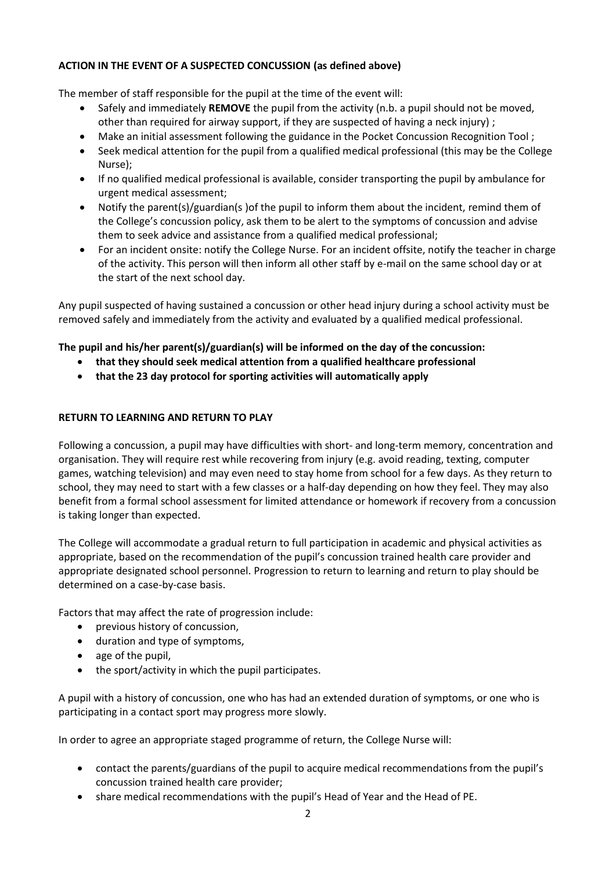## **ACTION IN THE EVENT OF A SUSPECTED CONCUSSION (as defined above)**

The member of staff responsible for the pupil at the time of the event will:

- Safely and immediately **REMOVE** the pupil from the activity (n.b. a pupil should not be moved, other than required for airway support, if they are suspected of having a neck injury) ;
- Make an initial assessment following the guidance in the Pocket Concussion Recognition Tool ;
- Seek medical attention for the pupil from a qualified medical professional (this may be the College Nurse);
- If no qualified medical professional is available, consider transporting the pupil by ambulance for urgent medical assessment;
- Notify the parent(s)/guardian(s )of the pupil to inform them about the incident, remind them of the College's concussion policy, ask them to be alert to the symptoms of concussion and advise them to seek advice and assistance from a qualified medical professional;
- For an incident onsite: notify the College Nurse. For an incident offsite, notify the teacher in charge of the activity. This person will then inform all other staff by e-mail on the same school day or at the start of the next school day.

Any pupil suspected of having sustained a concussion or other head injury during a school activity must be removed safely and immediately from the activity and evaluated by a qualified medical professional.

# **The pupil and his/her parent(s)/guardian(s) will be informed on the day of the concussion:**

- **that they should seek medical attention from a qualified healthcare professional**
- **that the 23 day protocol for sporting activities will automatically apply**

### **RETURN TO LEARNING AND RETURN TO PLAY**

Following a concussion, a pupil may have difficulties with short- and long-term memory, concentration and organisation. They will require rest while recovering from injury (e.g. avoid reading, texting, computer games, watching television) and may even need to stay home from school for a few days. As they return to school, they may need to start with a few classes or a half-day depending on how they feel. They may also benefit from a formal school assessment for limited attendance or homework if recovery from a concussion is taking longer than expected.

The College will accommodate a gradual return to full participation in academic and physical activities as appropriate, based on the recommendation of the pupil's concussion trained health care provider and appropriate designated school personnel. Progression to return to learning and return to play should be determined on a case-by-case basis.

Factors that may affect the rate of progression include:

- previous history of concussion,
- duration and type of symptoms,
- age of the pupil,
- the sport/activity in which the pupil participates.

A pupil with a history of concussion, one who has had an extended duration of symptoms, or one who is participating in a contact sport may progress more slowly.

In order to agree an appropriate staged programme of return, the College Nurse will:

- contact the parents/guardians of the pupil to acquire medical recommendations from the pupil's concussion trained health care provider;
- share medical recommendations with the pupil's Head of Year and the Head of PE.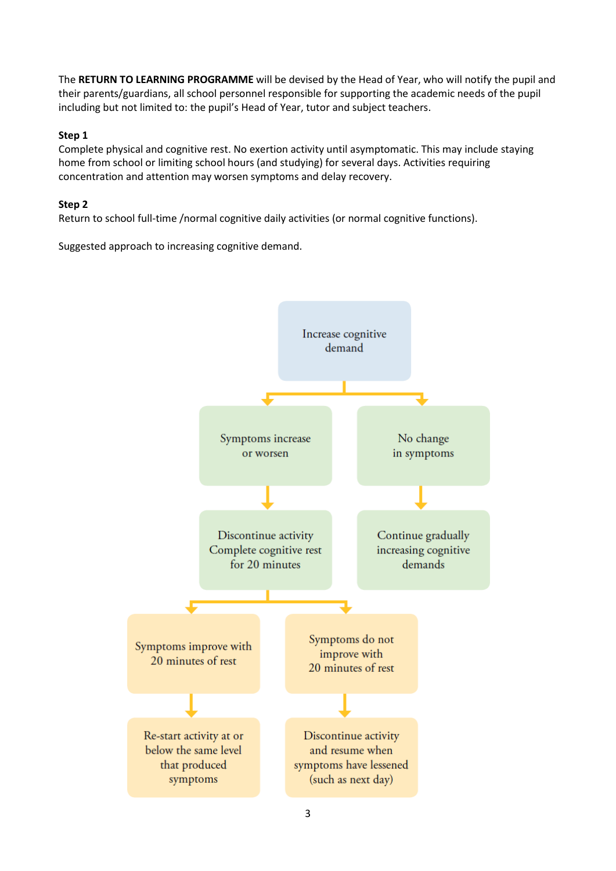The **RETURN TO LEARNING PROGRAMME** will be devised by the Head of Year, who will notify the pupil and their parents/guardians, all school personnel responsible for supporting the academic needs of the pupil including but not limited to: the pupil's Head of Year, tutor and subject teachers.

### **Step 1**

Complete physical and cognitive rest. No exertion activity until asymptomatic. This may include staying home from school or limiting school hours (and studying) for several days. Activities requiring concentration and attention may worsen symptoms and delay recovery.

### **Step 2**

Return to school full-time /normal cognitive daily activities (or normal cognitive functions).

Suggested approach to increasing cognitive demand.

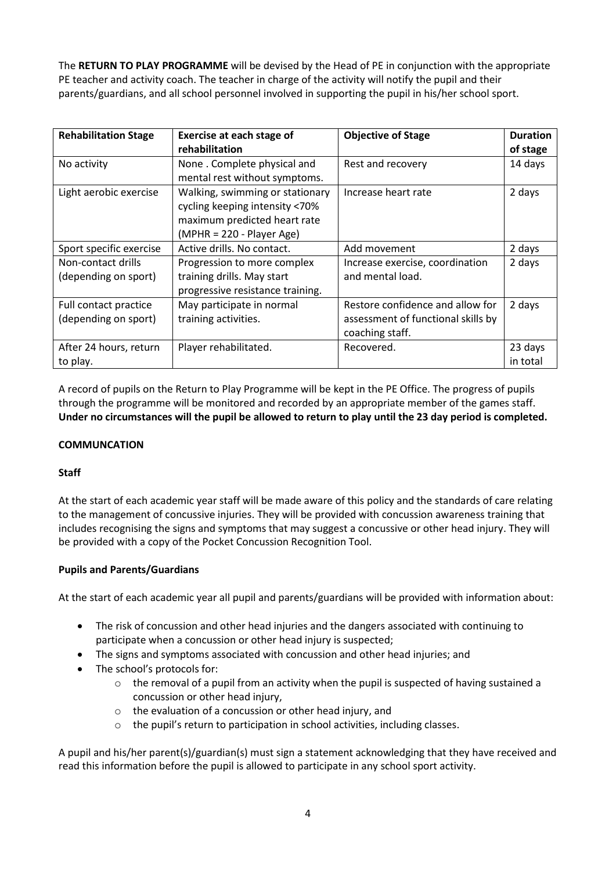The **RETURN TO PLAY PROGRAMME** will be devised by the Head of PE in conjunction with the appropriate PE teacher and activity coach. The teacher in charge of the activity will notify the pupil and their parents/guardians, and all school personnel involved in supporting the pupil in his/her school sport.

| <b>Rehabilitation Stage</b> | Exercise at each stage of        | <b>Objective of Stage</b>          | <b>Duration</b> |
|-----------------------------|----------------------------------|------------------------------------|-----------------|
|                             | rehabilitation                   |                                    | of stage        |
| No activity                 | None. Complete physical and      | Rest and recovery                  | 14 days         |
|                             | mental rest without symptoms.    |                                    |                 |
| Light aerobic exercise      | Walking, swimming or stationary  | Increase heart rate                | 2 days          |
|                             | cycling keeping intensity <70%   |                                    |                 |
|                             | maximum predicted heart rate     |                                    |                 |
|                             | $(MPHR = 220 - Player Age)$      |                                    |                 |
| Sport specific exercise     | Active drills. No contact.       | Add movement                       | 2 days          |
| Non-contact drills          | Progression to more complex      | Increase exercise, coordination    | 2 days          |
| (depending on sport)        | training drills. May start       | and mental load.                   |                 |
|                             | progressive resistance training. |                                    |                 |
| Full contact practice       | May participate in normal        | Restore confidence and allow for   | 2 days          |
| (depending on sport)        | training activities.             | assessment of functional skills by |                 |
|                             |                                  | coaching staff.                    |                 |
| After 24 hours, return      | Player rehabilitated.            | Recovered.                         | 23 days         |
| to play.                    |                                  |                                    | in total        |

A record of pupils on the Return to Play Programme will be kept in the PE Office. The progress of pupils through the programme will be monitored and recorded by an appropriate member of the games staff. **Under no circumstances will the pupil be allowed to return to play until the 23 day period is completed.**

### **COMMUNCATION**

### **Staff**

At the start of each academic year staff will be made aware of this policy and the standards of care relating to the management of concussive injuries. They will be provided with concussion awareness training that includes recognising the signs and symptoms that may suggest a concussive or other head injury. They will be provided with a copy of the Pocket Concussion Recognition Tool.

### **Pupils and Parents/Guardians**

At the start of each academic year all pupil and parents/guardians will be provided with information about:

- The risk of concussion and other head injuries and the dangers associated with continuing to participate when a concussion or other head injury is suspected;
- The signs and symptoms associated with concussion and other head injuries; and
- The school's protocols for:
	- $\circ$  the removal of a pupil from an activity when the pupil is suspected of having sustained a concussion or other head injury,
	- o the evaluation of a concussion or other head injury, and
	- o the pupil's return to participation in school activities, including classes.

A pupil and his/her parent(s)/guardian(s) must sign a statement acknowledging that they have received and read this information before the pupil is allowed to participate in any school sport activity.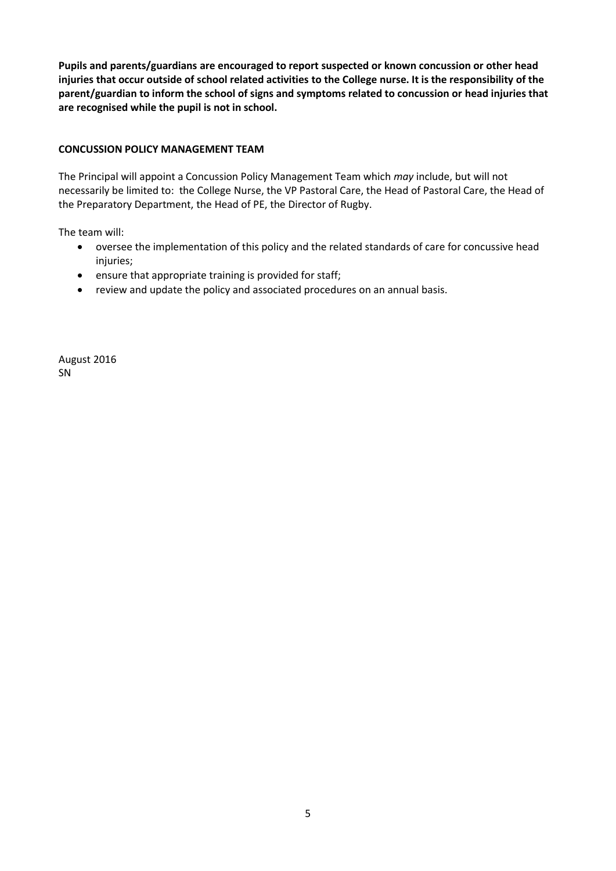**Pupils and parents/guardians are encouraged to report suspected or known concussion or other head injuries that occur outside of school related activities to the College nurse. It is the responsibility of the parent/guardian to inform the school of signs and symptoms related to concussion or head injuries that are recognised while the pupil is not in school.**

### **CONCUSSION POLICY MANAGEMENT TEAM**

The Principal will appoint a Concussion Policy Management Team which *may* include, but will not necessarily be limited to: the College Nurse, the VP Pastoral Care, the Head of Pastoral Care, the Head of the Preparatory Department, the Head of PE, the Director of Rugby.

The team will:

- oversee the implementation of this policy and the related standards of care for concussive head injuries;
- ensure that appropriate training is provided for staff;
- review and update the policy and associated procedures on an annual basis.

August 2016 SN